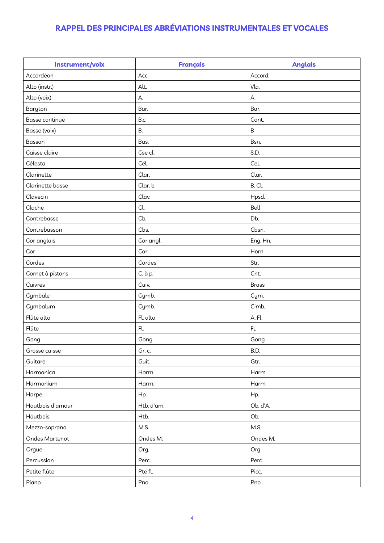## **RAPPEL DES PRINCIPALES ABRÉVIATIONS INSTRUMENTALES ET VOCALES**

| Instrument/voix       | <b>Français</b> | <b>Anglais</b> |
|-----------------------|-----------------|----------------|
| Accordéon             | Acc.            | Accord.        |
| Alto (instr.)         | Alt.            | Vla.           |
| Alto (voix)           | А.              | А.             |
| Baryton               | Bar.            | Bar.           |
| <b>Basse continue</b> | B.c.            | Cont.          |
| Basse (voix)          | <b>B.</b>       | $\sf B$        |
| Basson                | Bas.            | Bsn.           |
| Caisse claire         | Cse cl.         | S.D.           |
| Célesta               | Cél.            | Cel.           |
| Clarinette            | Clar.           | Clar.          |
| Clarinette basse      | Clar. b.        | B.Cl.          |
| Clavecin              | Clav.           | Hpsd.          |
| Cloche                | Cl.             | Bell           |
| Contrebasse           | Cb.             | Db.            |
| Contrebasson          | Cbs.            | Cbsn.          |
| Cor anglais           | Cor angl.       | Eng. Hn.       |
| Cor                   | Cor             | Horn           |
| Cordes                | Cordes          | Str.           |
| Cornet à pistons      | C. à p.         | Cnt.           |
| Cuivres               | Cuiv.           | <b>Brass</b>   |
| Cymbale               | Cymb.           | Cym.           |
| Cymbalum              | Cymb.           | Cimb.          |
| Flûte alto            | Fl. alto        | A. Fl.         |
| Flûte                 | Fl.             | Fl.            |
| Gong                  | Gong            | Gong           |
| Grosse caisse         | Gr. c.          | B.D.           |
| Guitare               | Guit.           | Gtr.           |
| Harmonica             | Harm.           | Harm.          |
| Harmonium             | Harm.           | Harm.          |
| Harpe                 | Hp.             | Hp.            |
| Hautbois d'amour      | Htb. d'am.      | Ob. d'A.       |
| Hautbois              | Htb.            | Ob.            |
| Mezzo-soprano         | M.S.            | M.S.           |
| Ondes Martenot        | Ondes M.        | Ondes M.       |
| Orgue                 | Org.            | Org.           |
| Percussion            | Perc.           | Perc.          |
| Petite flûte          | Pte fl.         | Picc.          |
| Piano                 | Pno             | Pno.           |